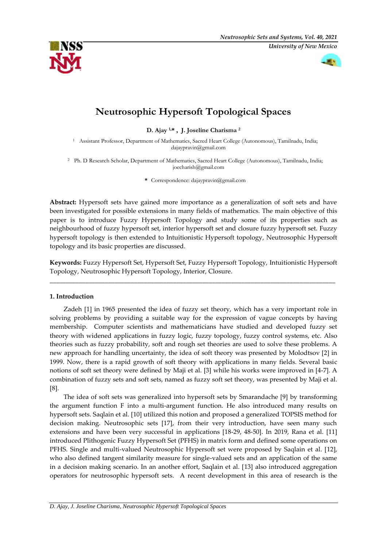

# **Neutrosophic Hypersoft Topological Spaces**

**D. Ajay 1,\* , J. Joseline Charisma <sup>2</sup>**

<sup>1</sup> Assistant Professor, Department of Mathematics, Sacred Heart College (Autonomous), Tamilnadu, India; dajaypravin@gmail.com

<sup>2</sup> Ph. D Research Scholar, Department of Mathematics, Sacred Heart College (Autonomous), Tamilnadu, India; joecharish@gmail.com

**\*** Correspondence: dajaypravin@gmail.com

**Abstract:** Hypersoft sets have gained more importance as a generalization of soft sets and have been investigated for possible extensions in many fields of mathematics. The main objective of this paper is to introduce Fuzzy Hypersoft Topology and study some of its properties such as neighbourhood of fuzzy hypersoft set, interior hypersoft set and closure fuzzy hypersoft set. Fuzzy hypersoft topology is then extended to Intuitionistic Hypersoft topology, Neutrosophic Hypersoft topology and its basic properties are discussed.

**Keywords:** Fuzzy Hypersoft Set, Hypersoft Set, Fuzzy Hypersoft Topology, Intuitionistic Hypersoft Topology, Neutrosophic Hypersoft Topology, Interior, Closure.

\_\_\_\_\_\_\_\_\_\_\_\_\_\_\_\_\_\_\_\_\_\_\_\_\_\_\_\_\_\_\_\_\_\_\_\_\_\_\_\_\_\_\_\_\_\_\_\_\_\_\_\_\_\_\_\_\_\_\_\_\_\_\_\_\_\_\_\_\_\_\_\_\_\_\_\_\_\_\_\_\_\_\_\_\_\_\_\_

# **1. Introduction**

Zadeh [1] in 1965 presented the idea of fuzzy set theory, which has a very important role in solving problems by providing a suitable way for the expression of vague concepts by having membership. Computer scientists and mathematicians have studied and developed fuzzy set theory with widened applications in fuzzy logic, fuzzy topology, fuzzy control systems, etc. Also theories such as fuzzy probability, soft and rough set theories are used to solve these problems. A new approach for handling uncertainty, the idea of soft theory was presented by Molodtsov [2] in 1999. Now, there is a rapid growth of soft theory with applications in many fields. Several basic notions of soft set theory were defined by Maji et al. [3] while his works were improved in [4-7]. A combination of fuzzy sets and soft sets, named as fuzzy soft set theory, was presented by Maji et al. [8].

The idea of soft sets was generalized into hypersoft sets by Smarandache [9] by transforming the argument function F into a multi-argument function. He also introduced many results on hypersoft sets. Saqlain et al. [10] utilized this notion and proposed a generalized TOPSIS method for decision making. Neutrosophic sets [17], from their very introduction, have seen many such extensions and have been very successful in applications [18-29, 48-50]. In 2019, Rana et al. [11] introduced Plithogenic Fuzzy Hypersoft Set (PFHS) in matrix form and defined some operations on PFHS. Single and multi-valued Neutrosophic Hypersoft set were proposed by Saqlain et al. [12], who also defined tangent similarity measure for single-valued sets and an application of the same in a decision making scenario. In an another effort, Saqlain et al. [13] also introduced aggregation operators for neutrosophic hypersoft sets. A recent development in this area of research is the

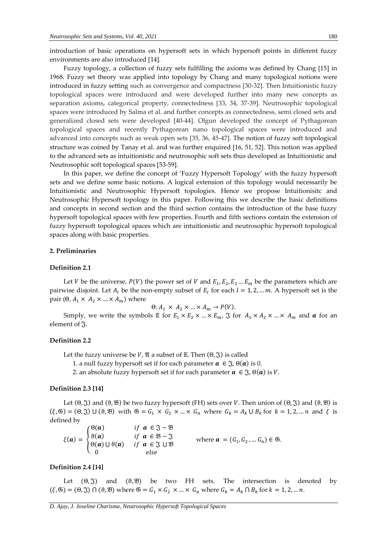introduction of basic operations on hypersoft sets in which hypersoft points in different fuzzy environments are also introduced [14].

Fuzzy topology, a collection of fuzzy sets fulfilling the axioms was defined by Chang [15] in 1968. Fuzzy set theory was applied into topology by Chang and many topological notions were introduced in fuzzy setting such as convergence and compactness [30-32]. Then Intuitionistic fuzzy topological spaces were introduced and were developed further into many new concepts as separation axioms, categorical property, connectedness [33, 34, 37-39]. Neutrosophic topological spaces were introduced by Salma et al. and further concepts as connectedness, semi closed sets and generalized closed sets were developed [40-44]. Olgun developed the concept of Pythagorean topological spaces and recently Pythagorean nano topological spaces were introduced and advanced into concepts such as weak open sets [35, 36, 45-47]. The notion of fuzzy soft topological structure was coined by Tanay et al. and was further enquired [16, 51, 52]. This notion was applied to the advanced sets as intuitionistic and neutrosophic soft sets thus developed as Intuitionistic and Neutrosophic soft topological spaces [53-59].

In this paper, we define the concept of 'Fuzzy Hypersoft Topology' with the fuzzy hypersoft sets and we define some basic notions. A logical extension of this topology would necessarily be Intuitionistic and Neutrosophic Hypersoft topologies. Hence we propose Intuitionisitc and Neutrosophic Hypersoft topology in this paper. Following this we describe the basic definitions and concepts in second section and the third section contains the introduction of the base fuzzy hypersoft topological spaces with few properties. Fourth and fifth sections contain the extension of fuzzy hypersoft topological spaces which are intuitionistic and neutrosophic hypersoft topological spaces along with basic properties.

# **2. Preliminaries**

## **Definition 2.1**

Let *V* be the universe,  $P(V)$  the power set of *V* and  $E_1, E_2, E_3 ... E_m$  be the parameters which are pairwise disjoint. Let  $A_l$  be the non-empty subset of  $E_l$  for each  $l = 1, 2, ... m$ . A hypersoft set is the pair ( $\Theta$ ,  $A_1 \times A_2 \times ... \times A_m$ ) where

 $\Theta: A_1 \times A_2 \times ... \times A_m \rightarrow P(V).$ 

Simply, we write the symbols  $E$  for  $E_1 \times E_2 \times ... \times E_m$ ,  $\Im$  for  $A_1 \times A_2 \times ... \times A_m$  and  $\alpha$  for an element of  $\mathfrak{I}$ .

#### **Definition 2.2**

Let the fuzzy universe be V,  $\mathfrak A$  a subset of  $\mathbb E$ . Then  $(\Theta, \mathfrak J)$  is called

1. a null fuzzy hypersoft set if for each parameter  $a \in \mathcal{F}, \Theta(a)$  is 0.

2. an absolute fuzzy hypersoft set if for each parameter  $\boldsymbol{a} \in \mathcal{F}, \Theta(\boldsymbol{a})$  is V.

#### **Definition 2.3 [14]**

Let  $(\Theta, \mathfrak{F})$  and  $(\vartheta, \mathfrak{B})$  be two fuzzy hypersoft (FH) sets over *V*. Then union of  $(\Theta, \mathfrak{F})$  and  $(\vartheta, \mathfrak{B})$  is  $(\xi, \mathfrak{G}) = (\Theta, \mathfrak{J}) \cup (\Theta, \mathfrak{B})$  with  $\mathfrak{G} = G_1 \times G_2 \times ... \times G_n$  where  $G_k = A_k \cup B_k$  for  $k = 1, 2, ... n$  and  $\xi$  is defined by

 $\xi(\mathbf{a}) = \langle$  $\Theta(\boldsymbol{a})$   $if \boldsymbol{a} \in \mathfrak{J} - \mathfrak{B}$  $\vartheta(a)$  if  $a \in \mathfrak{B} - \mathfrak{J}$  $\Theta(a) \cup \Theta(a)$  if  $a \in \mathfrak{J} \cup \mathfrak{B}$ 0 else where  $a = (G_1, G_2, ... G_n) \in \mathfrak{G}$ .

#### **Definition 2.4 [14]**

Let  $(\Theta, \tilde{\chi})$  and  $(\Theta, \mathfrak{B})$  be two FH sets. The intersection is denoted by  $(\xi, \mathfrak{G}) = (\Theta, \mathfrak{J}) \cap (\Theta, \mathfrak{B})$  where  $\mathfrak{G} = G_1 \times G_2 \times ... \times G_n$  where  $G_k = A_k \cap B_k$  for  $k = 1, 2, ... n$ .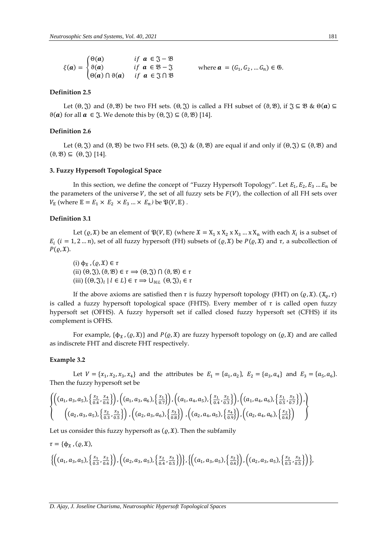|                                                             |                                  | if $a \in \mathfrak{J} - \mathfrak{B}$           |
|-------------------------------------------------------------|----------------------------------|--------------------------------------------------|
| $\xi(a) = \begin{cases} \theta(a) \\ \theta(a) \end{cases}$ |                                  | if $a \in \mathcal{B} - \mathcal{J}$             |
|                                                             | $\big(\Theta(a)\cap\vartheta(a)$ | <i>if</i> $a \in \mathfrak{J} \cap \mathfrak{B}$ |

where  $\bm{a} = (G_1, G_2, ..., G_n) \in \mathfrak{G}$ .

## **Definition 2.5**

Let  $(\Theta, \tilde{\zeta})$  and  $(\vartheta, \mathcal{B})$  be two FH sets.  $(\Theta, \tilde{\zeta})$  is called a FH subset of  $(\vartheta, \mathcal{B})$ , if  $\tilde{\zeta} \subseteq \mathcal{B}$  &  $\Theta(\boldsymbol{a}) \subseteq$  $\vartheta(a)$  for all  $a \in \mathfrak{J}$ . We denote this by  $(\theta, \mathfrak{J}) \subseteq (\vartheta, \mathfrak{B})$  [14].

## **Definition 2.6**

Let  $(\Theta, \mathfrak{F})$  and  $(\Theta, \mathfrak{B})$  be two FH sets.  $(\Theta, \mathfrak{F}) \& (\Theta, \mathfrak{B})$  are equal if and only if  $(\Theta, \mathfrak{F}) \subseteq (\Theta, \mathfrak{B})$  and  $(\vartheta, \mathfrak{B}) \subseteq (\vartheta, \mathfrak{F})$  [14].

#### **3. Fuzzy Hypersoft Topological Space**

In this section, we define the concept of "Fuzzy Hypersoft Topology". Let  $E_1, E_2, E_3 ... E_n$  be the parameters of the universe  $V$ , the set of all fuzzy sets be  $F(V)$ , the collection of all FH sets over  $V_{\mathbb{E}}$  (where  $\mathbb{E} = E_1 \times E_2 \times E_3 ... \times E_n$ ) be  $\mathfrak{P}(V, \mathbb{E})$ .

## **Definition 3.1**

Let  $(\varrho, \mathfrak{X})$  be an element of  $\mathfrak{P}(V, \mathbb{E})$  (where  $\mathfrak{X} = X_1 \times X_2 \times X_3 \dots \times X_n$  with each  $X_i$  is a subset of  $E_i$  (*i* = 1, 2 ... *n*), set of all fuzzy hypersoft (FH) subsets of ( $\varrho$ ,  $\tilde{x}$ ) be  $P(\varrho, \tilde{x})$  and  $\tau$ , a subcollection of  $P(\varrho, \mathfrak{X}).$ 

(i)  $\phi_{\mathfrak{X}}$ ,  $(\varrho, \mathfrak{X}) \in \tau$ (ii)  $(\Theta, \mathfrak{J}), (\vartheta, \mathfrak{B}) \in \tau \Rightarrow (\Theta, \mathfrak{J}) \cap (\vartheta, \mathfrak{B}) \in \tau$ (iii)  $\{(\Theta, \mathfrak{J})_l \mid l \in L\} \in \tau \Rightarrow \bigcup_{l \in L} (\Theta, \mathfrak{J})_l \in \tau$ 

If the above axioms are satisfied then  $\tau$  is fuzzy hypersoft topology (FHT) on  $(\varrho, \mathfrak{X})$ .  $(\mathfrak{X}_{\varrho}, \tau)$ is called a fuzzy hypersoft topological space (FHTS). Every member of  $\tau$  is called open fuzzy hypersoft set (OFHS). A fuzzy hypersoft set if called closed fuzzy hypersoft set (CFHS) if its complement is OFHS.

For example,  $\{\phi_{\mathfrak{X}}, (\varrho, \mathfrak{X})\}$  and  $P(\varrho, \mathfrak{X})$  are fuzzy hypersoft topology on  $(\varrho, \mathfrak{X})$  and are called as indiscrete FHT and discrete FHT respectively.

#### **Example 3.2**

Let  $V = \{x_1, x_2, x_3, x_4\}$  and the attributes be  $E_1 = \{a_1, a_2\}$ ,  $E_2 = \{a_3, a_4\}$  and  $E_3 = \{a_5, a_6\}$ . Then the fuzzy hypersoft set be

$$
\{\left( (a_1, a_3, a_5), \left\{\frac{x_2}{0.4}, \frac{x_4}{0.6}\right\} \right), \left( (a_1, a_3, a_6), \left\{\frac{x_1}{0.7}\right\} \right), \left( (a_1, a_4, a_5), \left\{\frac{x_1}{0.4}, \frac{x_2}{0.3}\right\} \right), \left( (a_1, a_4, a_6), \left\{\frac{x_1}{0.5}, \frac{x_3}{0.7}\right\} \right), \left( (a_2, a_3, a_5), \left\{\frac{x_2}{0.3}, \frac{x_3}{0.5}\right\} \right), \left( (a_2, a_3, a_6), \left\{\frac{x_3}{0.8}\right\} \right), \left( (a_2, a_4, a_5), \left\{\frac{x_4}{0.9}\right\} \right), \left( (a_2, a_4, a_6), \left\{\frac{x_2}{0.6}\right\} \right) \right\}
$$

Let us consider this fuzzy hypersoft as  $(\rho, \mathfrak{X})$ . Then the subfamily

$$
\tau = \{\phi_{\tilde{x}}, (\varrho, \tilde{x}), \\ \left\{ \left( (a_1, a_3, a_5), \left\{ \frac{x_1}{0.3}, \frac{x_2}{0.6} \right\} \right), \left( (a_2, a_3, a_5), \left\{ \frac{x_2}{0.4}, \frac{x_3}{0.5} \right\} \right) \right\}, \left\{ \left( (a_1, a_3, a_5), \left\{ \frac{x_2}{0.4} \right\} \right), \left( (a_2, a_3, a_5), \left\{ \frac{x_2}{0.3}, \frac{x_3}{0.5} \right\} \right) \right\},\n\tau = \left\{ \begin{array}{l} 1, & 1, & 1 \\ 0, & 1, & 1 \end{array} \right\}
$$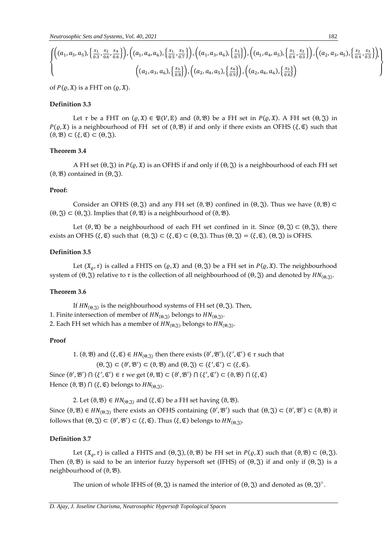$$
\{\begin{pmatrix} (a_1, a_3, a_5), \left\{\frac{x_1}{0.3}, \frac{x_2}{0.6}, \frac{x_4}{0.6}\right\}, \left( (a_1, a_4, a_6), \left\{\frac{x_1}{0.5}, \frac{x_3}{0.7}\right\} \right), \left( (a_1, a_3, a_6), \left\{\frac{x_1}{0.7}\right\} \right), \left( (a_1, a_4, a_5), \left\{\frac{x_1}{0.4}, \frac{x_2}{0.3}\right\} \right), \left( (a_2, a_3, a_5), \left\{\frac{x_2}{0.4}, \frac{x_3}{0.5}\right\} \right), \left( (a_3, a_4, a_5), \left\{\frac{x_1}{0.7}\right\} \right), \left( (a_4, a_4, a_5), \left\{\frac{x_1}{0.4}, \frac{x_2}{0.3}\right\} \right)\}
$$

of  $P(\varrho, \mathfrak{X})$  is a FHT on  $(\varrho, \mathfrak{X})$ .

# **Definition 3.3**

Let  $\tau$  be a FHT on  $(\rho, \mathfrak{X}) \in \mathfrak{P}(V, \mathbb{E})$  and  $(\vartheta, \mathfrak{B})$  be a FH set in  $P(\rho, \mathfrak{X})$ . A FH set  $(\vartheta, \mathfrak{X})$  in  $P(\varrho, \mathfrak{X})$  is a neighbourhood of FH set of  $(\vartheta, \mathfrak{B})$  if and only if there exists an OFHS  $(\xi, \mathfrak{C})$  such that  $(\vartheta, \mathfrak{B}) \subset (\xi, \mathfrak{C}) \subset (\theta, \mathfrak{J}).$ 

# **Theorem 3.4**

A FH set  $(\Theta, \mathfrak{J})$  in  $P(\varrho, \mathfrak{X})$  is an OFHS if and only if  $(\Theta, \mathfrak{J})$  is a neighbourhood of each FH set (θ,  $\mathfrak{B}$ ) contained in (θ,  $\mathfrak{F}$ ).

## **Proof:**

Consider an OFHS ( $\Theta$ ,  $\widetilde{\chi}$ ) and any FH set ( $\Theta$ ,  $\mathcal{B}$ ) confined in ( $\Theta$ ,  $\widetilde{\chi}$ ). Thus we have ( $\Theta$ ,  $\mathcal{B}$ )  $\subset$  $(\Theta, \tilde{\mathfrak{Z}}) \subset (\Theta, \tilde{\mathfrak{Z}})$ . Implies that  $(\theta, \mathfrak{A})$  is a neighbourhood of  $(\theta, \mathfrak{B})$ .

Let  $(\theta, \mathfrak{A})$  be a neighbourhood of each FH set confined in it. Since  $(\theta, \mathfrak{A}) \subset (\theta, \mathfrak{A})$ , there exists an OFHS  $(\xi, \mathfrak{C})$  such that  $(\Theta, \mathfrak{J}) \subset (\xi, \mathfrak{C}) \subset (\Theta, \mathfrak{J})$ . Thus  $(\Theta, \mathfrak{J}) = (\xi, \mathfrak{C})$ ,  $(\Theta, \mathfrak{J})$  is OFHS.

# **Definition 3.5**

Let  $(\mathfrak{X}_{\rho}, \tau)$  is called a FHTS on  $(\rho, \mathfrak{X})$  and  $(\Theta, \mathfrak{Y})$  be a FH set in  $P(\rho, \mathfrak{X})$ . The neighbourhood system of  $(\Theta, \mathfrak{J})$  relative to  $\tau$  is the collection of all neighbourhood of  $(\Theta, \mathfrak{J})$  and denoted by  $HN_{(\Theta, \mathfrak{J})}$ .

## **Theorem 3.6**

If  $HN_{(\Theta,\mathfrak{I})}$  is the neighbourhood systems of FH set  $(\Theta,\mathfrak{I})$ . Then, 1. Finite intersection of member of  $HN_{(\Theta,\mathfrak{J})}$  belongs to  $HN_{(\Theta,\mathfrak{J})}$ .

# 2. Each FH set which has a member of  $H N_{(\Theta,\frak{J})}$  belongs to  $H N_{(\Theta,\frak{J})}.$

## **Proof**

1. ( $\vartheta$ ,  $\vartheta$ ) and  $(\xi, \mathfrak{C}) \in HN_{(\vartheta, \widetilde{\zeta})}$  then there exists  $(\vartheta', \vartheta'), (\xi', \mathfrak{C}') \in \tau$  such that

 $(\Theta, \mathfrak{J}) \subset (\theta', \mathfrak{B}') \subset (\theta, \mathfrak{B})$  and  $(\Theta, \mathfrak{J}) \subset (\xi', \mathfrak{C}') \subset (\xi, \mathfrak{C})$ .

Since  $(\vartheta', \vartheta') \cap (\xi', \vartheta') \in \tau$  we get  $(\theta, \vartheta) \subset (\vartheta', \vartheta') \cap (\xi', \vartheta') \subset (\vartheta, \vartheta) \cap (\xi, \vartheta)$ Hence  $(\vartheta, \mathfrak{B}) \cap (\xi, \mathfrak{C})$  belongs to  $HN_{(\Theta,\mathfrak{J})}.$ 

2. Let  $(\vartheta, \mathfrak{B}) \in HN_{(\vartheta, \mathfrak{A})}$  and  $(\xi, \mathfrak{C})$  be a FH set having  $(\vartheta, \mathfrak{B})$ .

Since  $(\vartheta, \mathfrak{B}) \in HN_{(\vartheta, \mathfrak{D})}$  there exists an OFHS containing  $(\vartheta', \mathfrak{B}')$  such that  $(\vartheta, \mathfrak{J}) \subset (\vartheta', \mathfrak{B}') \subset (\vartheta, \mathfrak{B})$  it follows that  $(\Theta, \mathfrak{J}) \subset (\vartheta', \mathfrak{B}') \subset (\xi, \mathfrak{C})$ . Thus  $(\xi, \mathfrak{C})$  belongs to  $HN_{(\Theta, \mathfrak{J})}$ .

## **Definition 3.7**

Let  $(\mathfrak{X}_0, \tau)$  is called a FHTS and  $(\Theta, \mathfrak{X})$ ,  $(\Theta, \mathfrak{B})$  be FH set in  $P(\varrho, \mathfrak{X})$  such that  $(\Theta, \mathfrak{B}) \subset (\Theta, \mathfrak{X})$ . Then  $(\vartheta, \vartheta)$  is said to be an interior fuzzy hypersoft set (IFHS) of  $(\vartheta, \tilde{\zeta})$  if and only if  $(\vartheta, \tilde{\zeta})$  is a neighbourhood of  $(\vartheta, \mathfrak{B})$ .

The union of whole IFHS of  $(\Theta, \mathfrak{F})$  is named the interior of  $(\Theta, \mathfrak{F})$  and denoted as  $(\Theta, \mathfrak{F})^{\circ}$ .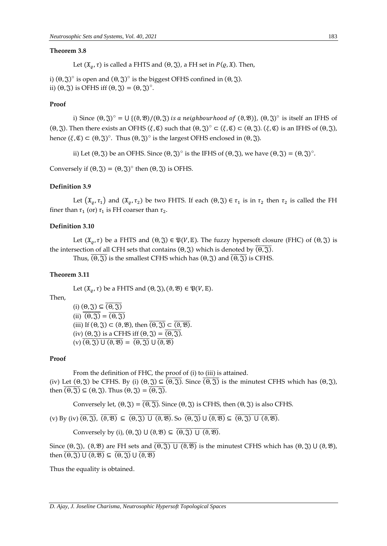#### **Theorem 3.8**

Let  $(\mathfrak{X}_0, \tau)$  is called a FHTS and  $(\Theta, \mathfrak{J})$ , a FH set in  $P(\varrho, \mathfrak{X})$ . Then,

i)  $(\Theta, \mathfrak{J})^{\circ}$  is open and  $(\Theta, \mathfrak{J})^{\circ}$  is the biggest OFHS confined in  $(\Theta, \mathfrak{J}).$ ii)  $(\Theta, \mathfrak{J})$  is OFHS iff  $(\Theta, \mathfrak{J}) = (\Theta, \mathfrak{J})^{\circ}$ .

# **Proof**

i) Since  $(\theta, \mathfrak{J})^{\circ} = \bigcup \{(\theta, \mathfrak{B})/(\theta, \mathfrak{J}) \text{ is a neighbourhood of } (\theta, \mathfrak{B})\}, (\theta, \mathfrak{J})^{\circ} \text{ is itself an IFHS of }$ (Θ, ξ). Then there exists an OFHS  $(\xi, \mathfrak{C})$  such that  $(\Theta, \mathfrak{J})^{\circ} \subset (\xi, \mathfrak{C}) \subset (\Theta, \mathfrak{J})$ .  $(\xi, \mathfrak{C})$  is an IFHS of  $(\Theta, \mathfrak{J})$ , hence  $(\xi, \mathfrak{C}) \subset (\Theta, \mathfrak{J})^{\circ}$ . Thus  $(\Theta, \mathfrak{J})^{\circ}$  is the largest OFHS enclosed in  $(\Theta, \mathfrak{J})$ .

ii) Let  $(\Theta, \mathfrak{J})$  be an OFHS. Since  $(\Theta, \mathfrak{J})^{\circ}$  is the IFHS of  $(\Theta, \mathfrak{J})$ , we have  $(\Theta, \mathfrak{J}) = (\Theta, \mathfrak{J})^{\circ}$ .

Conversely if  $(\Theta, \mathfrak{J}) = (\Theta, \mathfrak{J})^{\circ}$  then  $(\Theta, \mathfrak{J})$  is OFHS.

## **Definition 3.9**

Let  $(\mathfrak{X}_{\varrho}, \tau_1)$  and  $(\mathfrak{X}_{\varrho}, \tau_2)$  be two FHTS. If each  $(0, \mathfrak{J}) \in \tau_1$  is in  $\tau_2$  then  $\tau_2$  is called the FH finer than  $\tau_1$  (or)  $\tau_1$  is FH coarser than  $\tau_2.$ 

# **Definition 3.10**

Let  $(\mathfrak{X}_0, \tau)$  be a FHTS and  $(\Theta, \mathfrak{J}) \in \mathfrak{P}(V, \mathbb{E})$ . The fuzzy hypersoft closure (FHC) of  $(\Theta, \mathfrak{J})$  is the intersection of all CFH sets that contains  $(Θ, \Im)$  which is denoted by  $\overline{(Θ, \Im)}$ .

Thus,  $\overline{(\Theta,\mathfrak{T})}$  is the smallest CFHS which has  $(\Theta,\mathfrak{T})$  and  $\overline{(\Theta,\mathfrak{T})}$  is CFHS.

## **Theorem 3.11**

Let  $(\mathfrak{X}_{\rho}, \tau)$  be a FHTS and  $(\Theta, \mathfrak{J})$ ,  $(\vartheta, \mathfrak{B}) \in \mathfrak{P}(V, \mathbb{E})$ .

Then,

(i)  $(\theta, \mathfrak{J}) \subseteq \overline{(\theta, \mathfrak{J})}$  $(ii) \overline{\overline{(0, \mathfrak{J})}} = \overline{(0, \mathfrak{J})}$ (iii) If  $(\Theta, \mathfrak{J}) \subset (\Theta, \mathfrak{B})$ , then  $\overline{(\Theta, \mathfrak{J})} \subset \overline{(\Theta, \mathfrak{B})}$ . (iv)  $(\Theta, \mathfrak{J})$  is a CFHS iff  $(\Theta, \mathfrak{J}) = \overline{(\Theta, \mathfrak{J})}$ .  $(v)$   $\overline{(0, \mathfrak{F}) \cup (0, \mathfrak{B})} = \overline{(0, \mathfrak{F})} \cup \overline{(0, \mathfrak{B})}$ 

#### **Proof**

From the definition of FHC, the proof of (i) to (iii) is attained.

(iv) Let  $(\theta, \mathfrak{J})$  be CFHS. By (i)  $(\theta, \mathfrak{J}) \subseteq \overline{(\theta, \mathfrak{J})}$ . Since  $\overline{(\theta, \mathfrak{J})}$  is the minutest CFHS which has  $(\theta, \mathfrak{J})$ , then  $\overline{(\Theta, \mathfrak{T})} \subseteq (\Theta, \mathfrak{T})$ . Thus  $(\Theta, \mathfrak{T}) = \overline{(\Theta, \mathfrak{T})}$ .

Conversely let,  $(\Theta, \mathfrak{J}) = \overline{(\Theta, \mathfrak{J})}$ . Since  $(\Theta, \mathfrak{J})$  is CFHS, then  $(\Theta, \mathfrak{J})$  is also CFHS.

(v) By (iv)  $\overline{(0, \overline{3})}$ ,  $\overline{(3, \overline{8})}$   $\subseteq$   $\overline{(0, \overline{3})}$  U  $\overline{(3, \overline{3})}$   $\overline{(0, \overline{3})}$  U  $\overline{(0, \overline{3})}$  U  $\overline{(0, \overline{3})}$  U  $\overline{(0, \overline{3})}$ 

Conversely by (i),  $(\Theta, \mathfrak{J}) \cup (\Theta, \mathfrak{B}) \subseteq (\overline{\Theta, \mathfrak{J}}) \cup (\Theta, \mathfrak{B})$ .

Since  $(\Theta, \mathfrak{J})$ ,  $(\vartheta, \mathfrak{B})$  are FH sets and  $\overline{(\Theta, \mathfrak{J}) \cup (\vartheta, \mathfrak{B})}$  is the minutest CFHS which has  $(\Theta, \mathfrak{J}) \cup (\vartheta, \mathfrak{B})$ , then  $\overline{(\theta, \mathfrak{J}) \cup (\theta, \mathfrak{B})} \subseteq \overline{(\theta, \mathfrak{J})} \cup \overline{(\theta, \mathfrak{B})}$ 

Thus the equality is obtained.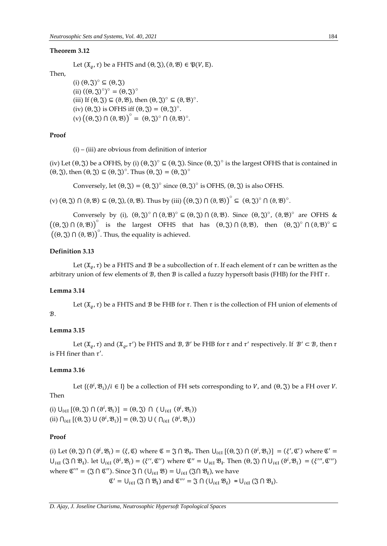#### **Theorem 3.12**

Let  $(\mathfrak{X}_0, \tau)$  be a FHTS and  $(\Theta, \mathfrak{J})$ ,  $(\vartheta, \mathfrak{B}) \in \mathfrak{P}(V, \mathbb{E})$ .

## Then,

(i)  $(\theta, \mathfrak{J})^{\circ} \subseteq (\theta, \mathfrak{J})$ (ii)  $((\Theta, \mathfrak{J})^{\circ})^{\circ} = (\Theta, \mathfrak{J})^{\circ}$ (iii) If  $(\Theta, \mathfrak{J}) \subseteq (\Theta, \mathfrak{B})$ , then  $(\Theta, \mathfrak{J})^{\circ} \subseteq (\Theta, \mathfrak{B})^{\circ}$ . (iv)  $(\theta, \mathfrak{J})$  is OFHS iff  $(\theta, \mathfrak{J}) = (\theta, \mathfrak{J})^{\circ}$ .  $(v) ((0, \mathfrak{J}) \cap (\theta, \mathfrak{B}))^{\circ} = (\theta, \mathfrak{J})^{\circ} \cap (\theta, \mathfrak{B})^{\circ}.$ 

## **Proof**

 $(i)$  – (iii) are obvious from definition of interior

(iv) Let  $(\theta, \tilde{\zeta})$  be a OFHS, by (i)  $(\theta, \tilde{\zeta})^{\circ} \subseteq (\theta, \tilde{\zeta})$ . Since  $(\theta, \tilde{\zeta})^{\circ}$  is the largest OFHS that is contained in  $(\Theta, \mathfrak{J})$ , then  $(\Theta, \mathfrak{J}) \subseteq (\Theta, \mathfrak{J})^{\circ}$ . Thus  $(\Theta, \mathfrak{J}) = (\Theta, \mathfrak{J})^{\circ}$ 

Conversely, let  $(\Theta, \mathfrak{J}) = (\Theta, \mathfrak{J})^{\circ}$  since  $(\Theta, \mathfrak{J})^{\circ}$  is OFHS,  $(\Theta, \mathfrak{J})$  is also OFHS.

(v)  $(\theta, \mathfrak{J}) \cap (\theta, \mathfrak{B}) \subseteq (\theta, \mathfrak{J}), (\theta, \mathfrak{B})$ . Thus by (iii)  $((\theta, \mathfrak{J}) \cap (\theta, \mathfrak{B}))^{\circ} \subseteq (\theta, \mathfrak{J})^{\circ} \cap (\theta, \mathfrak{B})^{\circ}$ .

Conversely by (i),  $(\theta, \mathfrak{F})^{\circ} \cap (\theta, \mathfrak{B})^{\circ} \subseteq (\theta, \mathfrak{F}) \cap (\theta, \mathfrak{B})$ . Since  $(\theta, \mathfrak{F})^{\circ}$ ,  $(\theta, \mathfrak{B})^{\circ}$  are OFHS &  $((\theta, \mathfrak{J}) \cap (\theta, \mathfrak{B}))^{\circ}$  is the largest OFHS that has  $(\theta, \mathfrak{J}) \cap (\theta, \mathfrak{B})$ , then  $(\theta, \mathfrak{J})^{\circ} \cap (\theta, \mathfrak{B})^{\circ} \subseteq$  $((\Theta, \mathfrak{J}) \cap (\Theta, \mathfrak{B}))$ <sup>o</sup>. Thus, the equality is achieved.

## **Definition 3.13**

Let  $(\mathfrak{X}_{\rho}, \tau)$  be a FHTS and  $\mathcal B$  be a subcollection of  $\tau$ . If each element of  $\tau$  can be written as the arbitrary union of few elements of  $\mathcal{B}$ , then  $\mathcal{B}$  is called a fuzzy hypersoft basis (FHB) for the FHT  $\tau$ .

#### **Lemma 3.14**

Let  $(\mathfrak{X}_0, \tau)$  be a FHTS and  $\mathcal B$  be FHB for  $\tau$ . Then  $\tau$  is the collection of FH union of elements of  $B$ .

# **Lemma 3.15**

Let  $(\mathfrak{X}_{\varrho}, \tau)$  and  $(\mathfrak{X}_{\varrho}, \tau')$  be FHTS and  $\mathcal{B}, \mathcal{B}'$  be FHB for  $\tau$  and  $\tau'$  respectively. If  $\mathcal{B}' \subset \mathcal{B}$ , then  $\tau$ is FH finer than  $\tau'$ .

# **Lemma 3.16**

Let  $\{(\vartheta^i, \mathfrak{B}_i)/i \in I\}$  be a collection of FH sets corresponding to V, and  $(\vartheta, \mathfrak{J})$  be a FH over V. Then

(i)  $\bigcup_{i \in I} \left[ (\theta, \mathfrak{J}) \cap (\vartheta^i, \mathfrak{B}_i) \right] = (\theta, \mathfrak{J}) \cap (\bigcup_{i \in I} (\vartheta^i, \mathfrak{B}_i))$ (ii)  $\bigcap_{i\in I} \left[ (\Theta, \mathfrak{J}) \cup (\vartheta^i, \mathfrak{B}_i) \right] = (\Theta, \mathfrak{J}) \cup (\bigcap_{i\in I} (\vartheta^i, \mathfrak{B}_i))$ 

# **Proof**

(i) Let  $(\Theta, \mathfrak{J}) \cap (\vartheta^i, \mathfrak{B}_i) = (\xi, \mathfrak{C})$  where  $\mathfrak{C} = \mathfrak{J} \cap \mathfrak{B}_i$ . Then  $\bigcup_{i \in I} [(\Theta, \mathfrak{J}) \cap (\vartheta^i, \mathfrak{B}_i)] = (\xi', \mathfrak{C}')$  where  $\mathfrak{C}' =$  $\bigcup_{i\in I} (\mathfrak{J} \cap \mathfrak{B}_i)$ . let  $\bigcup_{i\in I} (\vartheta^i, \mathfrak{B}_i) = (\xi'', \mathfrak{C}'')$  where  $\mathfrak{C}'' = \bigcup_{i\in I} \mathfrak{B}_i$ . Then  $(\theta, \mathfrak{J}) \cap \bigcup_{i\in I} (\vartheta^i, \mathfrak{B}_i) = (\xi''', \mathfrak{C}''')$ where  $\mathfrak{C}''' = (\mathfrak{J} \cap \mathfrak{C}'')$ . Since  $\mathfrak{J} \cap (\bigcup_{i \in I} \mathfrak{B}) = \bigcup_{i \in I} (\mathfrak{J} \cap \mathfrak{B}_i)$ , we have  $\mathfrak{C}' = \bigcup_{i \in I} (\mathfrak{J} \cap \mathfrak{B}_i)$  and  $\mathfrak{C}''' = \mathfrak{J} \cap (\bigcup_{i \in I} \mathfrak{B}_i) = \bigcup_{i \in I} (\mathfrak{J} \cap \mathfrak{B}_i).$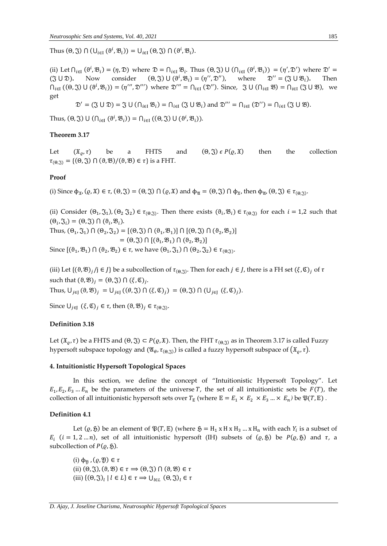Thus  $(\theta, \mathfrak{J}) \cap (\cup_{i \in I} (\theta^i, \mathfrak{B}_i)) = \cup_{i \in I} (\theta, \mathfrak{J}) \cap (\theta^i, \mathfrak{B}_i).$ 

(ii) Let  $\bigcap_{i\in I}(\vartheta^i,\mathfrak{B}_i)=(\eta,\mathfrak{D})$  where  $\mathfrak{D}=\bigcap_{i\in I}\mathfrak{B}_i$ . Thus  $(\vartheta,\mathfrak{J})\cup(\bigcap_{i\in I}(\vartheta^i,\mathfrak{B}_i))=(\eta',\mathfrak{D}')$  where  $\mathfrak{D}'=$  $({\mathfrak{J}} \cup {\mathfrak{D}})$ . Now consider  $({\Theta}, {\mathfrak{J}}) \cup ({\theta}^i, {\mathfrak{B}}_i) = ({\eta}^{\prime\prime}, {\mathfrak{D}}^{\prime\prime})$ , where  ${\mathfrak{D}}^{\prime\prime} = ({\mathfrak{J}} \cup {\mathfrak{B}}_i)$ . Then  $\bigcap_{i\in I} ((0, \mathfrak{J}) \cup (\vartheta^i, \mathfrak{B}_i)) = (\eta''', \mathfrak{D}''')$  where  $\mathfrak{D}''' = \bigcap_{i\in I} (\mathfrak{D}'')$ . Since,  $\mathfrak{J} \cup (\bigcap_{i\in I} \mathfrak{B}) = \bigcap_{i\in I} (\mathfrak{J} \cup \mathfrak{B})$ , we get

$$
\mathfrak{D}' = (\mathfrak{J} \cup \mathfrak{D}) = \mathfrak{J} \cup (\cap_{i \in I} \mathfrak{B}_i) = \cap_{i \in I} (\mathfrak{J} \cup \mathfrak{B}_i) \text{ and } \mathfrak{D}''' = \cap_{i \in I} (\mathfrak{D}'') = \cap_{i \in I} (\mathfrak{J} \cup \mathfrak{B}).
$$

Thus,  $(\Theta, \mathfrak{J}) \cup (\bigcap_{i \in I} (\vartheta^i, \mathfrak{B}_i)) = \bigcap_{i \in I} ((\Theta, \mathfrak{J}) \cup (\vartheta^i, \mathfrak{B}_i)).$ 

## **Theorem 3.17**

Let  $(x_0, \tau)$  be a FHTS and  $(\Theta, \mathfrak{F}) \in P(\varrho, \mathfrak{X})$  then the collection  $\tau_{(\Theta,\widetilde{S})} = \{(\Theta,\widetilde{S}) \cap (\vartheta,\mathfrak{B})/(\vartheta,\mathfrak{B}) \in \tau\}$  is a FHT.

#### **Proof**

(i) Since  $\phi_{\mathfrak{X}}$ ,  $(\varrho, \mathfrak{X}) \in \tau$ ,  $(\Theta, \mathfrak{Y}) = (\Theta, \mathfrak{Y}) \cap (\varrho, \mathfrak{X})$  and  $\phi_{\mathfrak{A}} = (\Theta, \mathfrak{Y}) \cap \phi_{\mathfrak{X}}$ , then  $\phi_{\mathfrak{A}}$ ,  $(\Theta, \mathfrak{Y}) \in \tau_{(\Theta, \mathfrak{Y})}$ .

(ii) Consider  $(\Theta_1, \mathfrak{J}_1), (\Theta_2, \mathfrak{J}_2) \in \tau_{(\Theta, \mathfrak{J})}$ . Then there exists  $(\vartheta_i, \mathfrak{B}_i) \in \tau_{(\Theta, \mathfrak{J})}$  for each  $i = 1,2$  such that  $(\Theta_i, \mathfrak{F}_i) = (\Theta, \mathfrak{F}) \cap (\vartheta_i, \mathfrak{B}_i).$ 

Thus,  $(\theta_1, \mathfrak{J}_1) \cap (\theta_2, \mathfrak{J}_2) = [(\theta, \mathfrak{J}) \cap (\theta_1, \mathfrak{B}_1)] \cap [(\theta, \mathfrak{J}) \cap (\theta_2, \mathfrak{B}_2)]$  $=(\Theta, \mathfrak{J}) \cap [(\vartheta_1, \mathfrak{B}_1) \cap (\vartheta_2, \mathfrak{B}_2)]$ 

Since  $[(\vartheta_1, \vartheta_1) \cap (\vartheta_2, \vartheta_2) \in \tau$ , we have  $(\vartheta_1, \mathfrak{J}_1) \cap (\vartheta_2, \mathfrak{J}_2) \in \tau_{(\vartheta, \mathfrak{J})}$ .

(iii) Let  $\{(\vartheta,\mathfrak{B})_j/j\in J\}$  be a subcollection of  $\tau_{(\vartheta,\mathfrak{J})}$ . Then for each  $j\in J$ , there is a FH set  $(\xi,\mathfrak{C})_j$  of  $\tau$ such that  $(\vartheta, \mathfrak{B})_j = (\vartheta, \mathfrak{J}) \cap (\xi, \mathfrak{C})_j$ .

Thus,  $\bigcup_{j\in J} (\vartheta, \mathfrak{B})_j = \bigcup_{j\in J} ((\theta, \mathfrak{F}) \cap (\xi, \mathfrak{C})_j) = (\vartheta, \mathfrak{F}) \cap (\bigcup_{j\in J} (\xi, \mathfrak{C})_j).$ 

Since  $\bigcup_{j\in J} (\xi,\mathfrak{C})_j \in \tau$ , then  $(\vartheta,\mathfrak{B})_j \in \tau_{(\vartheta,\mathfrak{J})}$ .

## **Definition 3.18**

Let  $(\mathfrak{X}_{\varrho}, \tau)$  be a FHTS and  $(\Theta, \mathfrak{J}) \subset P(\varrho, \mathfrak{X})$ . Then, the FHT  $\tau_{(\Theta, \mathfrak{J})}$  as in Theorem 3.17 is called Fuzzy hypersoft subspace topology and  $(\mathfrak{A}_{\theta}, \tau_{(\Theta,\hat{\mathcal{S}})})$  is called a fuzzy hypersoft subspace of  $(\mathfrak{X}_{\theta}, \tau)$ .

## **4. Intuitionistic Hypersoft Topological Spaces**

In this section, we define the concept of "Intuitionistic Hypersoft Topology". Let  $E_1, E_2, E_3 ... E_n$  be the parameters of the universe T, the set of all intuitionistic sets be  $F(T)$ , the collection of all intuitionistic hypersoft sets over  $T_{\mathbb{E}}$  (where  $\mathbb{E} = E_1 \times E_2 \times E_3 ... \times E_n$ ) be  $\mathfrak{P}(T, \mathbb{E})$ .

#### **Definition 4.1**

Let  $(\varrho, \mathfrak{H})$  be an element of  $\mathfrak{P}(T, \mathbb{E})$  (where  $\mathfrak{H} = H_1 x H x H_3 ... x H_n$  with each  $Y_i$  is a subset of  $E_i$  ( $i = 1, 2...n$ ), set of all intuitionistic hypersoft (IH) subsets of ( $\varrho$ ,  $\mathfrak{H}$ ) be  $P(\varrho, \mathfrak{H})$  and  $\tau$ , a subcollection of  $P(\varrho, \mathfrak{H})$ .

(i)  $\phi_{\mathfrak{N}}$ ,  $(\rho, \mathfrak{Y}) \in \tau$ (ii)  $(\theta, \mathfrak{J}), (\vartheta, \mathfrak{B}) \in \tau \Rightarrow (\theta, \mathfrak{J}) \cap (\vartheta, \mathfrak{B}) \in \tau$ (iii)  $\{(\Theta, \mathfrak{J})_l \mid l \in L\} \in \tau \Rightarrow \bigcup_{l \in L} (\Theta, \mathfrak{J})_l \in \tau$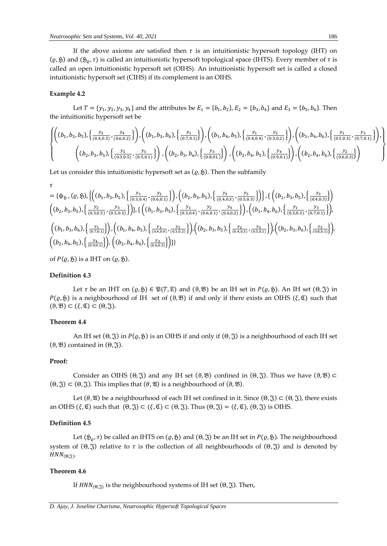If the above axioms are satisfied then  $\tau$  is an intuitionistic hypersoft topology (IHT) on  $(\varrho, \mathfrak{H})$  and  $(\mathfrak{H}_{\varrho}, \tau)$  is called an intuitionistic hypersoft topological space (IHTS). Every member of  $\tau$  is called an open intuitionistic hypersoft set (OIHS). An intuitionistic hypersoft set is called a closed intuitionistic hypersoft set (CIHS) if its complement is an OIHS.

#### **Example 4.2**

Let  $T = \{y_1, y_2, y_3, y_4\}$  and the attributes be  $E_1 = \{b_1, b_2\}$ ,  $E_2 = \{b_3, b_4\}$  and  $E_3 = \{b_5, b_6\}$ . Then the intuitionitic hypersoft set be

$$
\left\{\n\begin{pmatrix}\n(b_1, b_3, b_5), \left\{\frac{y_2}{(0.4, 0.3)}, \frac{y_4}{(0.6, 0.2)}\right\}\n\end{pmatrix},\n\begin{pmatrix}\n(b_1, b_3, b_6), \left\{\frac{y_1}{(0.7, 0.1)}\right\}\n\end{pmatrix},\n\begin{pmatrix}\n(b_1, b_4, b_5), \left\{\frac{y_1}{(0.4, 0.4)}, \frac{y_2}{(0.3, 0.2)}\right\}\n\end{pmatrix},\n\begin{pmatrix}\n(b_1, b_4, b_6), \left\{\frac{y_1}{(0.5, 0.3)}, \frac{y_3}{(0.7, 0.1)}\right\}\n\end{pmatrix},\n\begin{pmatrix}\n(b_2, b_3, b_5), \left\{\frac{y_3}{(0.8, 0.1)}\right\}\n\end{pmatrix},\n\begin{pmatrix}\n(b_2, b_4, b_5), \left\{\frac{y_4}{(0.9, 0.1)}\right\}\n\end{pmatrix},\n\begin{pmatrix}\n(b_2, b_4, b_5), \left\{\frac{y_2}{(0.9, 0.1)}\right\}\n\end{pmatrix}\n\right\}
$$

Let us consider this intuitionistic hypersoft set as  $(\varrho, \mathfrak{H})$ . Then the subfamily

$$
\tau = \{\phi_{\mathfrak{H}},( \varrho,\mathfrak{H}),\left\{\left( (b_{1},b_{3},b_{5}),\left\{ \frac{y_{1}}{(0.3,0.4)},\frac{y_{2}}{(0.6,0.1)}\right\}\right),\left( (b_{2},b_{3},b_{5}),\left\{ \frac{y_{2}}{(0.4,0.3)},\frac{y_{3}}{(0.5,0.3)}\right\}\right\},\left\{\left( (b_{1},b_{3},b_{5}),\left\{ \frac{y_{2}}{(0.4,0.3)}\right\}\right)\right\}
$$

$$
\left(\left( b_{2},b_{3},b_{5}\right),\left\{ \frac{y_{2}}{(0.3,0.5)},\frac{y_{3}}{(0.5,0.3)}\right\}\right)\},\left\{\left( (b_{1},b_{3},b_{5}),\left\{ \frac{y_{1}}{(0.3,0.4)},\frac{y_{2}}{(0.6,0.1)},\frac{y_{4}}{(0.6,0.1)},\frac{y_{4}}{(0.6,0.2)}\right\}\right),\left( (b_{1},b_{4},b_{6}),\left\{ \frac{y_{1}}{(0.5,0.3)},\frac{y_{3}}{(0.7,0.1)}\right\}\right),\left(\left( b_{1},b_{3},b_{6}\right),\left\{ \frac{y_{1}}{(0.7,0.1)}\right\}\right),\left(\left( b_{1},b_{4},b_{5}\right),\left\{ \frac{y_{2}}{(0.4,0.4)},\frac{y_{2}}{(0.3,0.2)}\right\}\right),\left(\left( b_{2},b_{3},b_{5}\right),\left\{ \frac{y_{2}}{(0.4,0.3)},\frac{y_{3}}{(0.5,0.1)}\right\}\right),\left(\left( b_{2},b_{3},b_{6}\right),\left\{ \frac{y_{3}}{(0.8,0.1)}\right\}\right),\left(\left( b_{2},b_{4},b_{5}\right),\left\{ \frac{y_{2}}{(0.4,0.3)}\right\}\right)\}
$$

of  $P(\varrho, \mathfrak{H})$  is a IHT on  $(\varrho, \mathfrak{H})$ .

## **Definition 4.3**

Let  $\tau$  be an IHT on  $(\varrho, \mathfrak{H}) \in \mathfrak{P}(T, \mathbb{E})$  and  $(\vartheta, \mathfrak{B})$  be an IH set in  $P(\varrho, \mathfrak{H})$ . An IH set  $(\vartheta, \mathfrak{F})$  in  $P(\varrho,\mathfrak{H})$  is a neighbourhood of IH set of  $(\vartheta,\mathfrak{B})$  if and only if there exists an OIHS  $(\xi,\mathfrak{C})$  such that  $(\vartheta, \mathfrak{B}) \subset (\xi, \mathfrak{C}) \subset (\theta, \mathfrak{J}).$ 

## **Theorem 4.4**

An IH set  $(\Theta, \mathfrak{F})$  in  $P(\rho, \mathfrak{H})$  is an OIHS if and only if  $(\Theta, \mathfrak{F})$  is a neighbourhood of each IH set ( $\theta$ ,  $\mathfrak{B}$ ) contained in ( $\theta$ ,  $\mathfrak{F}$ ).

#### **Proof:**

Consider an OIHS ( $\Theta$ ,  $\Im$ ) and any IH set ( $\Theta$ ,  $\Re$ ) confined in ( $\Theta$ ,  $\Im$ ). Thus we have ( $\Theta$ ,  $\Re$ )  $\subset$  $(\Theta, \mathfrak{J}) \subset (\Theta, \mathfrak{J})$ . This implies that  $(\theta, \mathfrak{A})$  is a neighbourhood of  $(\theta, \mathfrak{B})$ .

Let  $(\theta, \mathfrak{A})$  be a neighbourhood of each IH set confined in it. Since  $(\theta, \mathfrak{A}) \subset (\theta, \mathfrak{A})$ , there exists an OIHS  $(\xi, \mathfrak{C})$  such that  $(\Theta, \mathfrak{S}) \subset (\xi, \mathfrak{C}) \subset (\Theta, \mathfrak{S})$ . Thus  $(\Theta, \mathfrak{S}) = (\xi, \mathfrak{C})$ ,  $(\Theta, \mathfrak{S})$  is OIHS.

# **Definition 4.5**

Let  $(\mathfrak{H}_{\rho}, \tau)$  be called an IHTS on  $(\varrho, \mathfrak{H})$  and  $(\theta, \mathfrak{J})$  be an IH set in  $P(\varrho, \mathfrak{H})$ . The neighbourhood system of  $(Θ, \Im)$  relative to  $τ$  is the collection of all neighbourhoods of  $(Θ, \Im)$  and is denoted by  $HNN_{(\Theta,\mathfrak{J})}$ .

## **Theorem 4.6**

If  $HNN_{(\Theta,\mathfrak{I})}$  is the neighbourhood systems of IH set  $(\Theta,\mathfrak{I})$ . Then,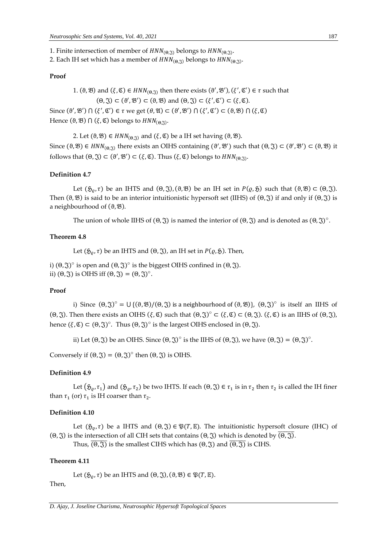- 1. Finite intersection of member of  $HNN_{(\Theta,\mathfrak{J})}$  belongs to  $HNN_{(\Theta,\mathfrak{J})}$ .
- 2. Each IH set which has a member of  $HNN_{(\Theta,\widetilde{\mathfrak{J}})}$  belongs to  $HNN_{(\Theta,\widetilde{\mathfrak{J}})}.$

## **Proof**

1.  $(\vartheta, \mathfrak{B})$  and  $(\xi, \mathfrak{C}) \in HNN_{(\vartheta, \mathfrak{J})}$  then there exists  $(\vartheta', \mathfrak{B}'), (\xi', \mathfrak{C}') \in \tau$  such that  $(\Theta, \mathfrak{J}) \subset (\theta', \mathfrak{B}') \subset (\theta, \mathfrak{B})$  and  $(\Theta, \mathfrak{J}) \subset (\xi', \mathfrak{C}') \subset (\xi, \mathfrak{C})$ . Since  $(\vartheta', \vartheta') \cap (\xi', \vartheta') \in \tau$  we get  $(\theta, \vartheta) \subset (\vartheta', \vartheta') \cap (\xi', \vartheta') \subset (\vartheta, \vartheta) \cap (\xi, \vartheta)$ Hence  $(\vartheta, \mathfrak{B}) \cap (\xi, \mathfrak{C})$  belongs to  $HNN_{(\Theta,\mathfrak{J})}$ .

2. Let  $(\vartheta, \mathfrak{B}) \in HNN_{(\vartheta, \mathfrak{J})}$  and  $(\xi, \mathfrak{C})$  be a IH set having  $(\vartheta, \mathfrak{B})$ . Since  $(\vartheta, \mathfrak{B}) \in HNN_{(\vartheta, \mathfrak{D})}$  there exists an OIHS containing  $(\vartheta', \mathfrak{B}')$  such that  $(\vartheta, \mathfrak{J}) \subset (\vartheta', \mathfrak{B}') \subset (\vartheta, \mathfrak{B})$  it follows that  $(\Theta, \mathfrak{J}) \subset (\vartheta', \mathfrak{B}') \subset (\xi, \mathfrak{C})$ . Thus  $(\xi, \mathfrak{C})$  belongs to  $HNN_{(\Theta, \mathfrak{J})}$ .

## **Definition 4.7**

Let  $(\mathfrak{H}_{\rho}, \tau)$  be an IHTS and  $(\Theta, \mathfrak{F}), (\vartheta, \mathfrak{B})$  be an IH set in  $P(\rho, \mathfrak{H})$  such that  $(\vartheta, \mathfrak{B}) \subset (\Theta, \mathfrak{F}).$ Then  $(θ, ℜ)$  is said to be an interior intuitionistic hypersoft set (IIHS) of  $(Θ, ℑ)$  if and only if  $(Θ, ℑ)$  is a neighbourhood of  $(\vartheta, \mathfrak{B})$ .

The union of whole IIHS of  $(\Theta, \mathfrak{F})$  is named the interior of  $(\Theta, \mathfrak{F})$  and is denoted as  $(\Theta, \mathfrak{F})^{\circ}$ .

# **Theorem 4.8**

Let  $({\mathfrak H}_0, \tau)$  be an IHTS and  $(\Theta, {\mathfrak J})$ , an IH set in  $P(\varrho, {\mathfrak H})$ . Then,

i)  $(\Theta, \mathfrak{J})^{\circ}$  is open and  $(\Theta, \mathfrak{J})^{\circ}$  is the biggest OIHS confined in  $(\Theta, \mathfrak{J})$ . ii)  $(\Theta, \mathfrak{J})$  is OIHS iff  $(\Theta, \mathfrak{J}) = (\Theta, \mathfrak{J})^{\circ}$ .

#### **Proof**

i) Since  $(\Theta, \mathfrak{J})^{\circ} = \bigcup \{(\Theta, \mathfrak{B})/(\Theta, \mathfrak{J}) \text{ is a neighbourhood of } (\Theta, \mathfrak{B})\}, (\Theta, \mathfrak{J})^{\circ} \text{ is itself an IIHS of }$ (Θ, ξ). Then there exists an OIHS  $(\xi, \mathfrak{C})$  such that  $(\Theta, \mathfrak{J})^{\circ} \subset (\xi, \mathfrak{C}) \subset (\Theta, \mathfrak{J})$ .  $(\xi, \mathfrak{C})$  is an IIHS of  $(\Theta, \mathfrak{J})$ , hence  $(\xi, \mathfrak{C}) \subset (\Theta, \mathfrak{J})^{\circ}$ . Thus  $(\Theta, \mathfrak{J})^{\circ}$  is the largest OIHS enclosed in  $(\Theta, \mathfrak{J})$ .

ii) Let  $(\Theta, \mathfrak{J})$  be an OIHS. Since  $(\Theta, \mathfrak{J})^{\circ}$  is the IIHS of  $(\Theta, \mathfrak{J})$ , we have  $(\Theta, \mathfrak{J}) = (\Theta, \mathfrak{J})^{\circ}$ .

Conversely if  $(\Theta, \mathfrak{J}) = (\Theta, \mathfrak{J})^{\circ}$  then  $(\Theta, \mathfrak{J})$  is OIHS.

#### **Definition 4.9**

Let  $(\mathfrak{H}_{\varrho}, \tau_1)$  and  $(\mathfrak{H}_{\varrho}, \tau_2)$  be two IHTS. If each  $(\theta, \mathfrak{J}) \in \tau_1$  is in  $\tau_2$  then  $\tau_2$  is called the IH finer than  $\tau_1$  (or)  $\tau_1$  is IH coarser than  $\tau_2$ .

#### **Definition 4.10**

Let  $(\mathfrak{H}_{\rho}, \tau)$  be a IHTS and  $(\Theta, \mathfrak{J}) \in \mathfrak{P}(T, \mathbb{E})$ . The intuitionistic hypersoft closure (IHC) of (Θ, ξ) is the intersection of all CIH sets that contains (Θ, ξ) which is denoted by  $\overline{(θ, \overline{\mathfrak{J}})}$ .

Thus,  $\overline{(\Theta,\mathfrak{T})}$  is the smallest CIHS which has  $(\Theta,\mathfrak{T})$  and  $\overline{(\Theta,\mathfrak{T})}$  is CIHS.

#### **Theorem 4.11**

Let  $(\mathfrak{H}_{\varrho}, \tau)$  be an IHTS and  $(\Theta, \mathfrak{J}), (\vartheta, \mathfrak{B}) \in \mathfrak{P}(T, \mathbb{E}).$ 

Then,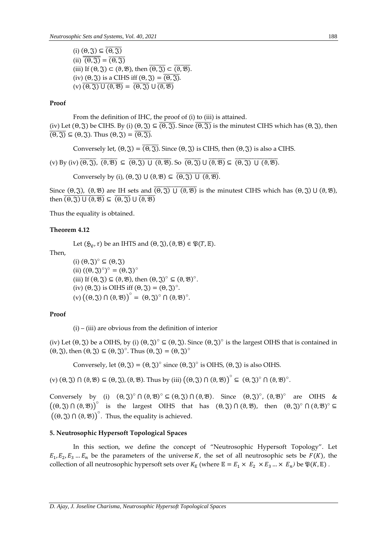(i)  $(\theta, \mathfrak{J}) \subseteq \overline{(\theta, \mathfrak{J})}$  $(ii) \overline{\overline{(0, \mathfrak{J})}} = \overline{(0, \mathfrak{J})}$ (iii) If  $(\Theta, \mathfrak{J}) \subset (\Theta, \mathfrak{B})$ , then  $\overline{(\Theta, \mathfrak{J})} \subset \overline{(\Theta, \mathfrak{B})}$ . (iv)  $(\theta, \mathfrak{J})$  is a CIHS iff  $(\theta, \mathfrak{J}) = \overline{(\theta, \mathfrak{J})}$ .  $(v)$   $\overline{(0, \mathfrak{F}) \cup (0, \mathfrak{B})} = \overline{(0, \mathfrak{F})} \cup \overline{(0, \mathfrak{B})}$ 

## **Proof**

From the definition of IHC, the proof of (i) to (iii) is attained. (iv) Let  $(\theta, \tilde{J})$  be CIHS. By (i)  $(\theta, \tilde{J}) \subseteq \overline{(\theta, \tilde{J})}$ . Since  $\overline{(\theta, \tilde{J})}$  is the minutest CIHS which has  $(\theta, \tilde{J})$ , then  $\overline{(\Theta,\mathfrak{J})}\subseteq (\Theta,\mathfrak{J})$ . Thus  $(\Theta,\mathfrak{J})=\overline{(\Theta,\mathfrak{J})}$ .

Conversely let,  $(\Theta, \mathfrak{J}) = \overline{(\Theta, \mathfrak{J})}$ . Since  $(\Theta, \mathfrak{J})$  is CIHS, then  $(\Theta, \mathfrak{J})$  is also a CIHS.

(v) By (iv)  $\overline{(0, \overline{3})}$ ,  $\overline{(3, \overline{8})}$   $\subseteq$   $\overline{(0, \overline{3})}$  U  $\overline{(3, \overline{3})}$   $\overline{(0, \overline{3})}$  U  $\overline{(3, \overline{8})}$   $\subseteq$   $\overline{(0, \overline{3})}$  U  $\overline{(3, \overline{8})}$ .

Conversely by (i),  $(\Theta, \Im) \cup (\vartheta, \mathcal{B}) \subseteq (\overline{\Theta, \Im) \cup (\vartheta, \mathcal{B})}$ .

Since  $(\Theta, \mathfrak{J})$ ,  $(\vartheta, \mathfrak{B})$  are IH sets and  $\overline{(\Theta, \mathfrak{J}) \cup (\vartheta, \mathfrak{B})}$  is the minutest CIHS which has  $(\Theta, \mathfrak{J}) \cup (\vartheta, \mathfrak{B})$ , then  $\overline{(\theta, \mathfrak{J}) \cup (\theta, \mathfrak{B})} \subseteq \overline{(\theta, \mathfrak{J})} \cup \overline{(\theta, \mathfrak{B})}$ 

Thus the equality is obtained.

#### **Theorem 4.12**

Let  $(\mathfrak{H}_0, \tau)$  be an IHTS and  $(\Theta, \mathfrak{J})$ ,  $(\vartheta, \mathfrak{B}) \in \mathfrak{P}(T, \mathbb{E})$ .

Then,

(i)  $(\theta, \mathfrak{J})^{\circ} \subseteq (\theta, \mathfrak{J})$ (ii)  $((\Theta, \mathfrak{J})^{\circ})^{\circ} = (\Theta, \mathfrak{J})^{\circ}$ (iii) If  $(\Theta, \mathfrak{J}) \subseteq (\Theta, \mathfrak{B})$ , then  $(\Theta, \mathfrak{J})^{\circ} \subseteq (\Theta, \mathfrak{B})^{\circ}$ . (iv)  $(\theta, \mathfrak{J})$  is OIHS iff  $(\theta, \mathfrak{J}) = (\theta, \mathfrak{J})^{\circ}$ .  $(v) ((0, \mathfrak{J}) \cap (\theta, \mathfrak{B}))^{\circ} = (\theta, \mathfrak{J})^{\circ} \cap (\theta, \mathfrak{B})^{\circ}.$ 

#### **Proof**

 $(i)$  – (iii) are obvious from the definition of interior

(iv) Let  $(\theta, \tilde{J})$  be a OIHS, by (i)  $(\theta, \tilde{J})^{\circ} \subseteq (\theta, \tilde{J})$ . Since  $(\theta, \tilde{J})^{\circ}$  is the largest OIHS that is contained in  $(\Theta, \mathfrak{J})$ , then  $(\Theta, \mathfrak{J}) \subseteq (\Theta, \mathfrak{J})^{\circ}$ . Thus  $(\Theta, \mathfrak{J}) = (\Theta, \mathfrak{J})^{\circ}$ 

Conversely, let  $(\Theta, \mathfrak{J}) = (\Theta, \mathfrak{J})^{\circ}$  since  $(\Theta, \mathfrak{J})^{\circ}$  is OIHS,  $(\Theta, \mathfrak{J})$  is also OIHS.

(v)  $(\theta, \mathfrak{J}) \cap (\theta, \mathfrak{B}) \subseteq (\theta, \mathfrak{J}), (\theta, \mathfrak{B})$ . Thus by (iii)  $((\theta, \mathfrak{J}) \cap (\theta, \mathfrak{B}))^{\circ} \subseteq (\theta, \mathfrak{J})^{\circ} \cap (\theta, \mathfrak{B})^{\circ}$ .

Conversely by (i)  $(\theta, \mathfrak{J})^{\circ} \cap (\theta, \mathfrak{B})^{\circ} \subseteq (\theta, \mathfrak{J}) \cap (\theta, \mathfrak{B})$ . Since  $(\theta, \mathfrak{J})^{\circ}$ ,  $(\theta, \mathfrak{B})^{\circ}$  are OIHS &  $((\theta, \mathfrak{J}) \cap (\theta, \mathfrak{B}))^{\circ}$  is the largest OIHS that has  $(\theta, \mathfrak{J}) \cap (\theta, \mathfrak{B})$ , then  $(\theta, \mathfrak{J})^{\circ} \cap (\theta, \mathfrak{B})^{\circ} \subseteq$  $((\Theta, \mathfrak{J}) \cap (\Theta, \mathfrak{B}))$ <sup>o</sup>. Thus, the equality is achieved.

#### **5. Neutrosophic Hypersoft Topological Spaces**

In this section, we define the concept of "Neutrosophic Hypersoft Topology". Let  $E_1, E_2, E_3 ... E_n$  be the parameters of the universe K, the set of all neutrosophic sets be  $F(K)$ , the collection of all neutrosophic hypersoft sets over  $K_{\mathbb{E}}$  (where  $\mathbb{E} = E_1 \times E_2 \times E_3 ... \times E_n$ ) be  $\mathfrak{P}(K, \mathbb{E})$ .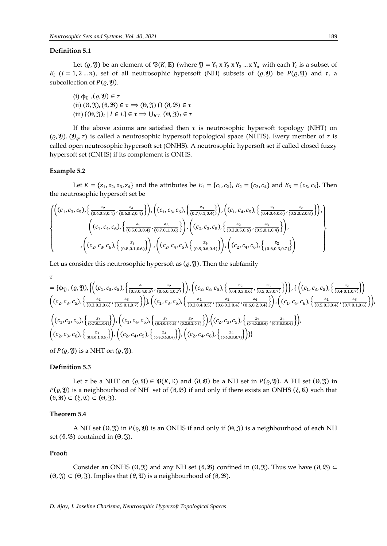#### **Definition 5.1**

Let  $(\varrho, \mathfrak{Y})$  be an element of  $\mathfrak{P}(K, \mathbb{E})$  (where  $\mathfrak{Y} = Y_1 \times Y_2 \times Y_3 \dots \times Y_n$  with each  $Y_i$  is a subset of  $E_i$  (*i* = 1, 2 ... *n*), set of all neutrosophic hypersoft (NH) subsets of ( $\varrho$ ,  $\varnothing$ ) be  $P(\varrho, \varnothing)$  and  $\tau$ , a subcollection of  $P(\varrho, \mathfrak{Y})$ .

(i)  $\phi_{\mathfrak{N}}$ ,  $(\varrho, \mathfrak{Y}) \in \tau$ (ii)  $(\Theta, \mathfrak{J}), (\vartheta, \mathfrak{B}) \in \tau \implies (\Theta, \mathfrak{J}) \cap (\vartheta, \mathfrak{B}) \in \tau$ (iii)  $\{(\Theta, \mathfrak{J})_l \mid l \in L\} \in \tau \Rightarrow \bigcup_{l \in L} (\Theta, \mathfrak{J})_l \in \tau$ 

If the above axioms are satisfied then  $\tau$  is neutrosophic hypersoft topology (NHT) on ( $(\varrho, \mathfrak{Y})$ . ( $\mathfrak{Y}_{\varrho}, \tau$ ) is called a neutrosophic hypersoft topological space (NHTS). Every member of  $\tau$  is called open neutrosophic hypersoft set (ONHS). A neutrosophic hypersoft set if called closed fuzzy hypersoft set (CNHS) if its complement is ONHS.

#### **Example 5.2**

Let  $K = \{z_1, z_2, z_3, z_4\}$  and the attributes be  $E_1 = \{c_1, c_2\}$ ,  $E_2 = \{c_3, c_4\}$  and  $E_3 = \{c_5, c_6\}$ . Then the neutrosophic hypersoft set be

$$
\left\{\n\begin{pmatrix}\n(c_1, c_3, c_5), \left\{\frac{z_2}{(0.4, 0.3, 0.4)}, \frac{z_4}{(0.6, 0.2, 0.4)}\right\}\n\end{pmatrix}, \n\begin{pmatrix}\n(c_1, c_3, c_6), \left\{\frac{z_1}{(0.7, 0.1, 0.4)}\right\}\n\end{pmatrix}, \n\begin{pmatrix}\n(c_1, c_4, c_5), \left\{\frac{z_1}{(0.4, 0.4, 0.6)}, \frac{z_2}{(0.3, 0.2, 0.8)}\right\}\n\end{pmatrix}, \n\left(\n(c_1, c_4, c_6), \left\{\frac{z_1}{(0.5, 0.3, 0.4)}, \frac{z_3}{(0.7, 0.1, 0.6)}\right\}\n\end{pmatrix}, \n\begin{pmatrix}\n(c_2, c_3, c_5), \left\{\frac{z_2}{(0.3, 0.5, 0.6)}, \frac{z_3}{(0.5, 0.1, 0.4)}\right\}\n\end{pmatrix}, \n\left(\n(c_2, c_3, c_6), \left\{\frac{z_4}{(0.8, 0.5, 0.6)}\right\}\n\end{pmatrix}, \n\left(\n(c_2, c_4, c_5), \left\{\frac{z_4}{(0.9, 0.6, 0.4)}\right\}\n\right), \n\begin{pmatrix}\n(c_2, c_4, c_6), \left\{\frac{z_2}{(0.6, 0.3, 0.7)}\right\}\n\end{pmatrix}\n\right\}
$$

Let us consider this neutrosophic hypersoft as  $(\varrho, \varrho)$ . Then the subfamily

$$
\tau = \{\phi_{\mathcal{Y}}, (\varrho, \mathcal{Y}), \left\{ \left( (c_1, c_3, c_5), \left\{ \frac{z_1}{(0.3, 0.4, 0.5)}, \frac{z_2}{(0.6, 0.1, 0.7)} \right\} \right), \left( (c_2, c_3, c_5), \left\{ \frac{z_2}{(0.4, 0.3, 0.6)}, \frac{z_3}{(0.5, 0.3, 0.7)} \right\} \right\}, \left\{ \left( (c_1, c_3, c_5), \left\{ \frac{z_2}{(0.4, 0.1, 0.7)} \right\} \right) \right\}
$$
\n
$$
\left( (c_2, c_3, c_5), \left\{ \frac{z_2}{(0.3, 0.3, 0.6)}, \frac{z_3}{(0.5, 0.1, 0.7)} \right\} \right), \left( (c_1, c_3, c_5), \left\{ \frac{z_1}{(0.3, 0.4, 0.5)}, \frac{z_2}{(0.6, 0.3, 0.4)}, \frac{z_4}{(0.6, 0.2, 0.4)} \right\} \right), \left( (c_1, c_4, c_6), \left\{ \frac{z_1}{(0.5, 0.3, 0.4)}, \frac{z_3}{(0.7, 0.1, 0.6)} \right\} \right), \left( \left( c_1, c_4, c_5), \left\{ \frac{z_1}{(0.4, 0.4, 0.6)}, \frac{z_2}{(0.3, 0.2, 0.8)} \right\} \right), \left( (c_2, c_3, c_5), \left\{ \frac{z_2}{(0.4, 0.5, 0.6)}, \frac{z_3}{(0.5, 0.3, 0.4)} \right\} \right), \left( (c_1, c_4, c_5), \left\{ \frac{z_1}{(0.4, 0.4, 0.6)}, \frac{z_2}{(0.3, 0.2, 0.8)} \right\} \right), \left( (c_2, c_3, c_5), \left\{ \frac{z_2}{(0.4, 0.5, 0.6)}, \frac{z_3}{(0.5, 0.3, 0.4)} \right\} \right), \left( (
$$

of  $P(\varrho, \mathfrak{Y})$  is a NHT on  $(\varrho, \mathfrak{Y})$ .

#### **Definition 5.3**

Let  $\tau$  be a NHT on  $(\varrho, \mathfrak{Y}) \in \mathfrak{P}(K, \mathbb{E})$  and  $(\vartheta, \mathfrak{B})$  be a NH set in  $P(\varrho, \mathfrak{Y})$ . A FH set  $(\vartheta, \mathfrak{Y})$  in  $P(\varrho, \varnothing)$  is a neighbourhood of NH set of  $(\vartheta, \varnothing)$  if and only if there exists an ONHS  $(\xi, \mathfrak{C})$  such that  $(\vartheta, \mathfrak{B}) \subset (\xi, \mathfrak{C}) \subset (\vartheta, \mathfrak{J}).$ 

# **Theorem 5.4**

A NH set  $(\theta, \mathfrak{F})$  in  $P(\varrho, \mathfrak{Y})$  is an ONHS if and only if  $(\theta, \mathfrak{F})$  is a neighbourhood of each NH set  $(0, \mathcal{B})$  contained in  $(0, \mathcal{C})$ .

#### **Proof:**

Consider an ONHS ( $\Theta$ ,  $\widetilde{\chi}$ ) and any NH set  $(\vartheta, \mathfrak{B})$  confined in  $(\Theta, \widetilde{\chi})$ . Thus we have  $(\vartheta, \mathfrak{B}) \subset$  $(\Theta, \mathfrak{J}) \subset (\Theta, \mathfrak{J})$ . Implies that  $(\theta, \mathfrak{A})$  is a neighbourhood of  $(\theta, \mathfrak{B})$ .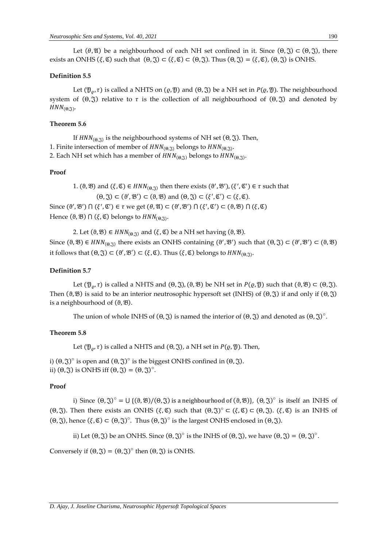Let  $(\theta, \mathfrak{A})$  be a neighbourhood of each NH set confined in it. Since  $(\theta, \mathfrak{F}) \subset (\theta, \mathfrak{F})$ , there exists an ONHS ( $\xi, \mathfrak{C}$ ) such that  $(\Theta, \mathfrak{Z}) \subset (\xi, \mathfrak{C}) \subset (\Theta, \mathfrak{Z})$ . Thus  $(\Theta, \mathfrak{Z}) = (\xi, \mathfrak{C})$ ,  $(\Theta, \mathfrak{Z})$  is ONHS.

#### **Definition 5.5**

Let  $(\mathcal{Y}_0, \tau)$  is called a NHTS on  $(\varrho, \mathcal{Y})$  and  $(\Theta, \mathcal{Y})$  be a NH set in  $P(\varrho, \mathcal{Y})$ . The neighbourhood system of  $(Θ, \tilde{S})$  relative to  $τ$  is the collection of all neighbourhood of  $(Θ, \tilde{S})$  and denoted by  $HNN_{(\Theta,\mathfrak{J})}$ .

## **Theorem 5.6**

If  $HNN_{(\Theta,\mathfrak{J})}$  is the neighbourhood systems of NH set  $(\Theta,\mathfrak{J})$ . Then,

1. Finite intersection of member of  $HNN_{(\Theta,\mathfrak{J})}$  belongs to  $HNN_{(\Theta,\mathfrak{J})}$ .

2. Each NH set which has a member of  $HNN_{(\Theta,\widetilde{\mathfrak{J}})}$  belongs to  $HNN_{(\Theta,\widetilde{\mathfrak{J}})}.$ 

#### **Proof**

1. ( $\vartheta$ ,  $\vartheta$ ) and  $(\xi, \mathfrak{C}) \in HNN_{(\Theta, \widetilde{\zeta})}$  then there exists  $(\vartheta', \vartheta'), (\xi', \mathfrak{C}') \in \tau$  such that  $(\Theta, \mathfrak{J}) \subset (\theta', \mathfrak{B}') \subset (\theta, \mathfrak{B})$  and  $(\Theta, \mathfrak{J}) \subset (\xi', \mathfrak{C}') \subset (\xi, \mathfrak{C})$ . Since  $(\vartheta', \mathcal{B}') \cap (\xi', \mathfrak{C}') \in \tau$  we get  $(\theta, \mathfrak{A}) \subset (\vartheta', \mathfrak{B}') \cap (\xi', \mathfrak{C}') \subset (\vartheta, \mathfrak{B}) \cap (\xi, \mathfrak{C})$ 

Hence  $(\vartheta, \mathfrak{B}) \cap (\xi, \mathfrak{C})$  belongs to  $HNN_{(\Theta,\mathfrak{J})}.$ 

2. Let  $(\vartheta, \mathfrak{B}) \in HNN_{(\vartheta, \mathfrak{A})}$  and  $(\xi, \mathfrak{C})$  be a NH set having  $(\vartheta, \mathfrak{B})$ .

Since  $(\vartheta, \mathfrak{B}) \in HNN_{(\theta, \mathfrak{J})}$  there exists an ONHS containing  $(\vartheta', \mathfrak{B}')$  such that  $(\vartheta, \mathfrak{J}) \subset (\vartheta', \mathfrak{B}') \subset (\vartheta, \mathfrak{B})$ it follows that  $(\Theta, \mathfrak{J}) \subset (\mathfrak{F}', \mathfrak{B}') \subset (\xi, \mathfrak{C})$ . Thus  $(\xi, \mathfrak{C})$  belongs to  $HNN_{(\Theta, \mathfrak{J})}$ .

#### **Definition 5.7**

Let  $(\mathcal{Y}_\rho, \tau)$  is called a NHTS and  $(\Theta, \mathcal{Y}), (\vartheta, \mathcal{Y})$  be NH set in  $P(\varrho, \mathcal{Y})$  such that  $(\vartheta, \mathcal{Y}) \subset (\Theta, \mathcal{Y}).$ Then ( $\vartheta$ , $\vartheta$ ) is said to be an interior neutrosophic hypersoft set (INHS) of ( $\vartheta$ , $\vartheta$ ) if and only if ( $\vartheta$ , $\vartheta$ ) is a neighbourhood of  $(\vartheta, \mathfrak{B})$ .

The union of whole INHS of  $(\Theta, \mathfrak{J})$  is named the interior of  $(\Theta, \mathfrak{J})$  and denoted as  $(\Theta, \mathfrak{J})^{\circ}$ .

#### **Theorem 5.8**

Let  $(\mathfrak{Y}_{\rho}, \tau)$  is called a NHTS and  $(\Theta, \mathfrak{J})$ , a NH set in  $P(\varrho, \mathfrak{Y})$ . Then,

i)  $(\Theta, \mathfrak{J})^{\circ}$  is open and  $(\Theta, \mathfrak{J})^{\circ}$  is the biggest ONHS confined in  $(\Theta, \mathfrak{J})$ . ii)  $(\Theta, \mathfrak{J})$  is ONHS iff  $(\Theta, \mathfrak{J}) = (\Theta, \mathfrak{J})^{\circ}$ .

# **Proof**

i) Since  $(\Theta, \Im)^{\circ} = \bigcup \{(\Theta, \mathfrak{B})/(\Theta, \Im) \text{ is a neighbourhood of } (\Theta, \mathfrak{B})\}, (\Theta, \Im)^{\circ} \text{ is itself an INHS of }$ (Θ, ξ). Then there exists an ONHS  $(\xi, \mathfrak{C})$  such that  $(\Theta, \mathfrak{J})^{\circ} \subset (\xi, \mathfrak{C}) \subset (\Theta, \mathfrak{J})$ .  $(\xi, \mathfrak{C})$  is an INHS of (Θ, ξ), hence (ξ, ᢗ) ⊂ (Θ, ξ)<sup>o</sup>. Thus (Θ, ξ)<sup>o</sup> is the largest ONHS enclosed in (Θ, ξ).

ii) Let  $(\Theta, \mathfrak{J})$  be an ONHS. Since  $(\Theta, \mathfrak{J})^{\circ}$  is the INHS of  $(\Theta, \mathfrak{J})$ , we have  $(\Theta, \mathfrak{J}) = (\Theta, \mathfrak{J})^{\circ}$ .

Conversely if  $(\Theta, \mathfrak{J}) = (\Theta, \mathfrak{J})^{\circ}$  then  $(\Theta, \mathfrak{J})$  is ONHS.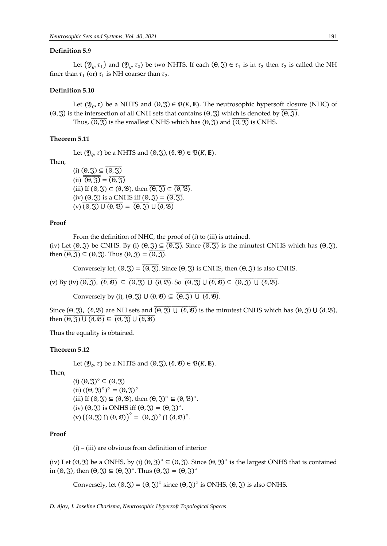## **Definition 5.9**

Let  $(\mathfrak{Y}_{\varrho},\tau_1)$  and  $(\mathfrak{Y}_{\varrho},\tau_2)$  be two NHTS. If each  $(\theta,\mathfrak{J})\in\tau_1$  is in  $\tau_2$  then  $\tau_2$  is called the NH finer than  $\tau_1$  (or)  $\tau_1$  is NH coarser than  $\tau_2$ .

# **Definition 5.10**

Let  $(\mathfrak{Y}_0, \tau)$  be a NHTS and  $(\Theta, \mathfrak{J}) \in \mathfrak{P}(K, \mathbb{E})$ . The neutrosophic hypersoft closure (NHC) of (Θ, ζ) is the intersection of all CNH sets that contains (Θ, ζ) which is denoted by  $\overline{(θ, \overline{\mathfrak{J}})}$ . Thus,  $\overline{(\Theta,\mathfrak{T})}$  is the smallest CNHS which has  $(\Theta,\mathfrak{T})$  and  $\overline{(\Theta,\mathfrak{T})}$  is CNHS.

#### **Theorem 5.11**

Let  $(\mathfrak{Y}_{\alpha}, \tau)$  be a NHTS and  $(\Theta, \mathfrak{Y})$ ,  $(\vartheta, \mathfrak{B}) \in \mathfrak{P}(K, \mathbb{E})$ .

Then,

(i)  $(\theta, \mathfrak{J}) \subseteq \overline{(\theta, \mathfrak{J})}$  $(ii) \overline{\Theta(\mathfrak{F})} = \overline{\Theta(\mathfrak{F})}$ (iii) If  $(\Theta, \mathfrak{J}) \subset (\Theta, \mathfrak{B})$ , then  $\overline{(\Theta, \mathfrak{J})} \subset \overline{(\Theta, \mathfrak{B})}$ . (iv)  $(\Theta, \mathfrak{J})$  is a CNHS iff  $(\Theta, \mathfrak{J}) = \overline{(\Theta, \mathfrak{J})}$ .  $(v)$   $\overline{(0, \mathfrak{F}) \cup (0, \mathfrak{B})} = \overline{(0, \mathfrak{F})} \cup \overline{(0, \mathfrak{B})}$ 

## **Proof**

From the definition of NHC, the proof of (i) to (iii) is attained.

(iv) Let  $(\theta, \tilde{y})$  be CNHS. By (i)  $(\theta, \tilde{y}) \subseteq \overline{(\theta, \tilde{y})}$ . Since  $\overline{(\theta, \tilde{y})}$  is the minutest CNHS which has  $(\theta, \tilde{y})$ , then  $\overline{(\theta, \mathfrak{J})} \subseteq (\theta, \mathfrak{J})$ . Thus  $(\theta, \mathfrak{J}) = \overline{(\theta, \mathfrak{J})}$ .

Conversely let,  $(\Theta, \mathfrak{J}) = \overline{(\Theta, \mathfrak{J})}$ . Since  $(\Theta, \mathfrak{J})$  is CNHS, then  $(\Theta, \mathfrak{J})$  is also CNHS.

(v) By (iv)  $\overline{(0, \overline{3})}$ ,  $\overline{(3, \overline{8})}$   $\subseteq$   $\overline{(0, \overline{3})}$  U  $\overline{(3, \overline{3})}$   $\overline{(0, \overline{3})}$  U  $\overline{(0, \overline{3})}$  U  $\overline{(0, \overline{3})}$  U  $\overline{(0, \overline{3})}$ 

Conversely by (i),  $(\Theta, \mathfrak{J}) \cup (\Theta, \mathfrak{B}) \subseteq (\overline{\Theta, \mathfrak{J}}) \cup (\Theta, \mathfrak{B})$ .

Since  $(\theta, \Im)$ ,  $(\vartheta, \mathfrak{B})$  are NH sets and  $\overline{(\theta, \Im) \cup (\vartheta, \mathfrak{B})}$  is the minutest CNHS which has  $(\theta, \Im) \cup (\vartheta, \mathfrak{B})$ , then  $\overline{(\theta, \mathfrak{J}) \cup (\theta, \mathfrak{B})} \subseteq \overline{(\theta, \mathfrak{J})} \cup \overline{(\theta, \mathfrak{B})}$ 

Thus the equality is obtained.

#### **Theorem 5.12**

Let  $(\mathfrak{Y}_{\varrho}, \tau)$  be a NHTS and  $(\Theta, \mathfrak{J})$ ,  $(\vartheta, \mathfrak{B}) \in \mathfrak{P}(K, \mathbb{E})$ .

Then,

(i)  $(\theta, \mathfrak{J})^{\circ} \subseteq (\theta, \mathfrak{J})$ (ii)  $((\Theta, \mathfrak{J})^{\circ})^{\circ} = (\Theta, \mathfrak{J})^{\circ}$ (iii) If  $(\Theta, \mathfrak{J}) \subseteq (\Theta, \mathfrak{B})$ , then  $(\Theta, \mathfrak{J})^{\circ} \subseteq (\Theta, \mathfrak{B})^{\circ}$ . (iv)  $(\theta, \mathfrak{J})$  is ONHS iff  $(\theta, \mathfrak{J}) = (\theta, \mathfrak{J})^{\circ}$ .  $(v) ((0, \mathfrak{J}) \cap (\theta, \mathfrak{B}))^{\circ} = (\theta, \mathfrak{J})^{\circ} \cap (\theta, \mathfrak{B})^{\circ}.$ 

# **Proof**

 $(i)$  – (iii) are obvious from definition of interior

(iv) Let  $(\theta, \mathfrak{J})$  be a ONHS, by (i)  $(\theta, \mathfrak{J})^{\circ} \subseteq (\theta, \mathfrak{J})$ . Since  $(\theta, \mathfrak{J})^{\circ}$  is the largest ONHS that is contained in (Θ, ξ), then  $(\Theta, \mathfrak{J}) \subseteq (\Theta, \mathfrak{J})^{\circ}$ . Thus  $(\Theta, \mathfrak{J}) = (\Theta, \mathfrak{J})^{\circ}$ 

Conversely, let  $(\Theta, \mathfrak{J}) = (\Theta, \mathfrak{J})^{\circ}$  since  $(\Theta, \mathfrak{J})^{\circ}$  is ONHS,  $(\Theta, \mathfrak{J})$  is also ONHS.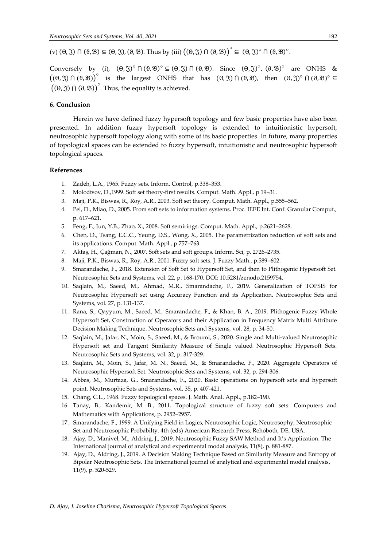(v)  $(\theta, \mathfrak{J}) \cap (\theta, \mathfrak{B}) \subseteq (\theta, \mathfrak{J}), (\theta, \mathfrak{B})$ . Thus by (iii)  $((\theta, \mathfrak{J}) \cap (\theta, \mathfrak{B}))^{\circ} \subseteq (\theta, \mathfrak{J})^{\circ} \cap (\theta, \mathfrak{B})^{\circ}$ .

Conversely by (i),  $(\theta, \mathfrak{J})^{\circ} \cap (\theta, \mathfrak{B})^{\circ} \subseteq (\theta, \mathfrak{J}) \cap (\theta, \mathfrak{B})$ . Since  $(\theta, \mathfrak{J})^{\circ}$ ,  $(\theta, \mathfrak{B})^{\circ}$  are ONHS &  $((\theta, \mathfrak{J}) \cap (\theta, \mathfrak{B}))^{\circ}$  is the largest ONHS that has  $(\theta, \mathfrak{J}) \cap (\theta, \mathfrak{B})$ , then  $(\theta, \mathfrak{J})^{\circ} \cap (\theta, \mathfrak{B})^{\circ} \subseteq$  $((\Theta, \mathfrak{J}) \cap (\Theta, \mathfrak{B})\big)^\circ$ . Thus, the equality is achieved.

# **6. Conclusion**

Herein we have defined fuzzy hypersoft topology and few basic properties have also been presented. In addition fuzzy hypersoft topology is extended to intuitionistic hypersoft, neutrosophic hypersoft topology along with some of its basic properties. In future, many properties of topological spaces can be extended to fuzzy hypersoft, intuitionistic and neutrosophic hypersoft topological spaces.

## **References**

- 1. Zadeh, L.A., 1965. Fuzzy sets. Inform. Control, p.338–353.
- 2. Molodtsov, D.,1999. Soft set theory-first results. Comput. Math. Appl., p 19–31.
- 3. Maji, P.K., Biswas, R., Roy, A.R., 2003. Soft set theory. Comput. Math. Appl., p.555–562.
- 4. Pei, D., Miao, D., 2005. From soft sets to information systems. Proc. IEEE Int. Conf. Granular Comput., p. 617–621.
- 5. Feng, F., Jun, Y.B., Zhao, X., 2008. Soft semirings. Comput. Math. Appl., p.2621–2628.
- 6. Chen, D., Tsang, E.C.C., Yeung, D.S., Wong, X., 2005. The parametrization reduction of soft sets and its applications. Comput. Math. Appl., p.757–763.
- 7. Aktaş, H., Çağman, N., 2007. Soft sets and soft groups. Inform. Sci, p. 2726–2735.
- 8. Maji, P.K., Biswas, R., Roy, A.R., 2001. Fuzzy soft sets. J. Fuzzy Math., p.589–602.
- 9. Smarandache, F., 2018. Extension of Soft Set to Hypersoft Set, and then to Plithogenic Hypersoft Set. Neutrosophic Sets and Systems, vol. 22, p. 168-170. DOI: 10.5281/zenodo.2159754.
- 10. Saqlain, M., Saeed, M., Ahmad, M.R., Smarandache, F., 2019. Generalization of TOPSIS for Neutrosophic Hypersoft set using Accuracy Function and its Application. Neutrosophic Sets and Systems, vol. 27, p. 131-137.
- 11. Rana, S., Qayyum, M., Saeed, M., Smarandache, F., & Khan, B. A., 2019. Plithogenic Fuzzy Whole Hypersoft Set, Construction of Operators and their Application in Frequency Matrix Multi Attribute Decision Making Technique. Neutrosophic Sets and Systems, vol. 28, p. 34-50.
- 12. Saqlain, M., Jafar, N., Moin, S., Saeed, M., & Broumi, S., 2020. Single and Multi-valued Neutrosophic Hypersoft set and Tangent Similarity Measure of Single valued Neutrosophic Hypersoft Sets. Neutrosophic Sets and Systems, vol. 32, p. 317-329.
- 13. Saqlain, M., Moin, S., Jafar, M. N., Saeed, M., & Smarandache, F., 2020. Aggregate Operators of Neutrosophic Hypersoft Set. Neutrosophic Sets and Systems, vol. 32, p. 294-306.
- 14. Abbas, M., Murtaza, G., Smarandache, F**.,** 2020. Basic operations on hypersoft sets and hypersoft point. Neutrosophic Sets and Systems, vol. 35, p. 407-421.
- 15. Chang, C.L., 1968. Fuzzy topological spaces. J. Math. Anal. Appl., p.182–190.
- 16. Tanay, B., Kandemir, M. B., 2011. Topological structure of fuzzy soft sets. Computers and Mathematics with Applications, p. 2952–2957.
- 17. Smarandache, F., 1999. A Unifying Field in Logics, Neutrosophic Logic, Neutrosophy, Neutrosophic Set and Neutrosophic Probabilty. 4th (eds) American Research Press, Rehoboth, DE, USA.
- 18. Ajay, D., Manivel, M., Aldring, J., 2019. Neutrosophic Fuzzy SAW Method and It's Application. The International journal of analytical and experimental modal analysis*,* 11(8), p. 881-887.
- 19. Ajay, D., Aldring, J., 2019. A Decision Making Technique Based on Similarity Measure and Entropy of Bipolar Neutrosophic Sets. The International journal of analytical and experimental modal analysis, 11(9), p. 520-529.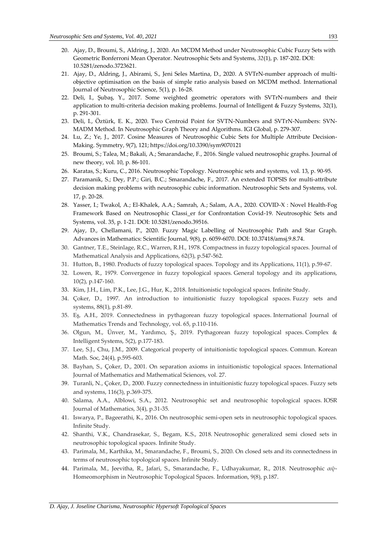- 20. Ajay, D., Broumi, S., Aldring, J., 2020. An MCDM Method under Neutrosophic Cubic Fuzzy Sets with Geometric Bonferroni Mean Operator. Neutrosophic Sets and Systems, *32*(1), p. 187-202. DOI: 10.5281/zenodo.3723621.
- 21. Ajay, D., Aldring, J., Abirami, S., Jeni Seles Martina, D., 2020. A SVTrN-number approach of multiobjective optimisation on the basis of simple ratio analysis based on MCDM method. International Journal of Neutrosophic Science, 5(1), p. 16-28.
- 22. Deli, I., Şubaş, Y., 2017. Some weighted geometric operators with SVTrN-numbers and their application to multi-criteria decision making problems. Journal of Intelligent & Fuzzy Systems, 32(1), p. 291-301.
- 23. Deli, I., Öztürk, E. K., 2020. Two Centroid Point for SVTN-Numbers and SVTrN-Numbers: SVN-MADM Method. In Neutrosophic Graph Theory and Algorithms. IGI Global, p. 279-307.
- 24. Lu, Z.; Ye, J., 2017. Cosine Measures of Neutrosophic Cubic Sets for Multiple Attribute Decision-Making. Symmetry, 9(7), 121; https://doi.org/10.3390/sym9070121
- 25. Broumi, S.; Talea, M.; Bakali, A.; Smarandache, F., 2016. Single valued neutrosophic graphs. Journal of new theory, vol. 10, p. 86-101.
- 26. Karatas, S.; Kuru, C., 2016. Neutrosophic Topology. Neutrosophic sets and systems, vol. 13, p. 90-95.
- 27. Paramanik, S.; Dey, P.P.; Giri, B.C.; Smarandache, F., 2017. An extended TOPSIS for multi-attribute decision making problems with neutrosophic cubic information. Neutrosophic Sets and Systems, vol. 17, p. 20-28.
- 28. Yasser, I.; Twakol, A.; El-Khalek, A.A.; Samrah, A.; Salam, A.A., 2020. COVID-X : Novel Health-Fog Framework Based on Neutrosophic Classi\_er for Confrontation Covid-19. Neutrosophic Sets and Systems, vol. 35, p. 1-21. DOI: 10.5281/zenodo.39516.
- 29. Ajay, D., Chellamani, P., 2020. Fuzzy Magic Labelling of Neutrosophic Path and Star Graph. Advances in Mathematics: Scientific Journal, 9(8), p. 6059-6070. DOI: 10.37418/amsj.9.8.74.
- 30. Gantner, T.E., Steinlage, R.C., Warren, R.H., 1978. Compactness in fuzzy topological spaces. Journal of Mathematical Analysis and Applications, 62(3), p.547-562.
- 31. Hutton, B., 1980. Products of fuzzy topological spaces. Topology and its Applications, 11(1), p.59-67.
- 32. Lowen, R., 1979. Convergence in fuzzy topological spaces. General topology and its applications, 10(2), p.147-160.
- 33. Kim, J.H., Lim, P.K., Lee, J.G., Hur, K., 2018. Intuitionistic topological spaces. Infinite Study.
- 34. Çoker, D., 1997. An introduction to intuitionistic fuzzy topological spaces. Fuzzy sets and systems, 88(1), p.81-89.
- 35. Eş, A.H., 2019. Connectedness in pythagorean fuzzy topological spaces. International Journal of Mathematics Trends and Technology, vol. 65, p.110-116.
- 36. Olgun, M., Ünver, M., Yardımcı, Ş., 2019. Pythagorean fuzzy topological spaces. Complex & Intelligent Systems, 5(2), p.177-183.
- 37. Lee, S.J., Chu, J.M., 2009. Categorical property of intuitionistic topological spaces. Commun. Korean Math. Soc, 24(4), p.595-603.
- 38. Bayhan, S., Çoker, D., 2001. On separation axioms in intuitionistic topological spaces. International Journal of Mathematics and Mathematical Sciences, vol. 27.
- 39. Turanli, N., Çoker, D., 2000. Fuzzy connectedness in intuitionistic fuzzy topological spaces. Fuzzy sets and systems, 116(3), p.369-375.
- 40. Salama, A.A., Alblowi, S.A., 2012. Neutrosophic set and neutrosophic topological spaces. IOSR Journal of Mathematics, 3(4), p.31-35.
- 41. Iswarya, P., Bageerathi, K., 2016. On neutrosophic semi-open sets in neutrosophic topological spaces. Infinite Study.
- 42. Shanthi, V.K., Chandrasekar, S., Begam, K.S., 2018. Neutrosophic generalized semi closed sets in neutrosophic topological spaces. Infinite Study.
- 43. Parimala, M., Karthika, M., Smarandache, F., Broumi, S., 2020. On closed sets and its connectedness in terms of neutrosophic topological spaces. Infinite Study.
- 44. Parimala, M., Jeevitha, R., Jafari, S., Smarandache, F., Udhayakumar, R., 2018. Neutrosophic αψ-Homeomorphism in Neutrosophic Topological Spaces. Information, 9(8), p.187.